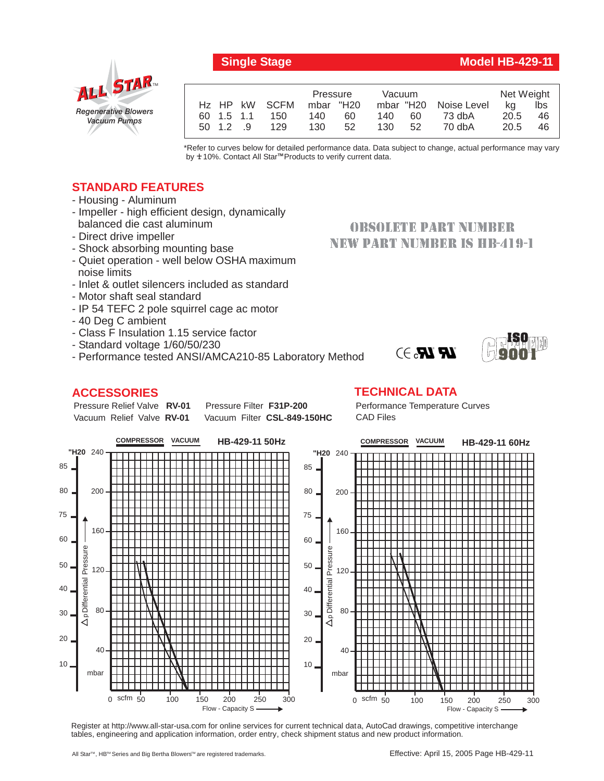## *Regenerative Blowers Vacuum Pumps* ALL STAR

|                           | <b>Vacuum</b><br>Pressure |           |                       | Net Weight |     |
|---------------------------|---------------------------|-----------|-----------------------|------------|-----|
| H <sub>z</sub> HP kW SCFM | mbar "H20                 |           | mbar "H20 Noise Level | ka         | lbs |
| 60 1.5 1.1<br>150         | 140<br>60                 | 140<br>60 | 73 dbA                | 20.5       | 46  |
| 129<br>50 1.2<br>- 9      | 130<br>52                 | 52<br>130 | 70 dbA                | 20.5       | 46  |
|                           |                           |           |                       |            |     |

\*Refer to curves below for detailed performance data. Data subject to change, actual performance may vary by **+** 10%. Contact All Star™Products to verify current data.

## **STANDARD FEATURES**

- Housing Aluminum
- Impeller high efficient design, dynamically balanced die cast aluminum
- Direct drive impeller
- Shock absorbing mounting base
- Quiet operation well below OSHA maximum noise limits
- Inlet & outlet silencers included as standard
- Motor shaft seal standard
- IP 54 TEFC 2 pole squirrel cage ac motor
- 40 Deg C ambient
- Class F Insulation 1.15 service factor
- Standard voltage 1/60/50/230
- Performance tested ANSI/AMCA210-85 Laboratory Method

## **ACCESSORIES**

#### Pressure Relief Valve RV-01 Vacuum Relief Valve RV-01 **Pressure Filter F31P-200** Vacuum Filter CSL-849-150HC

# NEW PART NUMBER IS HB-419-1

**OBSOLETE PART NUMBER** 



**TECHNICAL DATA**



Register at http://www.all-star-usa.com for online services for current technical data, AutoCad drawings, competitive interchange tables, engineering and application information, order entry, check shipment status and new product information.

**9001**  $\mathbf{R}$   $\mathbf{R}$   $\rightarrow$ 

**ISO**